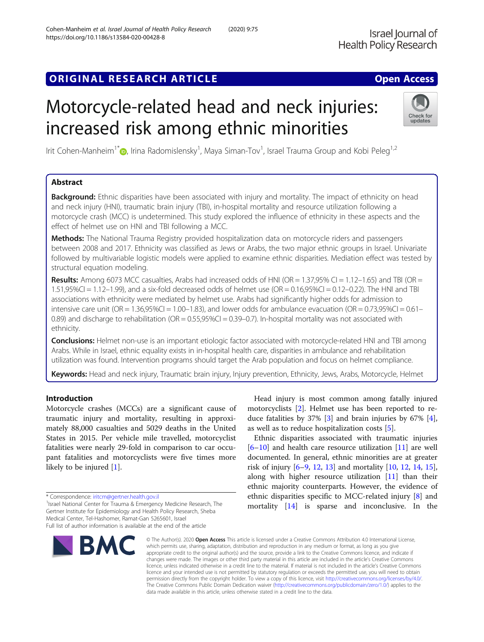# **ORIGINAL RESEARCH ARTICLE CONSUMING ACCESS**

# Motorcycle-related head and neck injuries: increased risk among ethnic minorities

Irit Cohen-Manheim<sup>1[\\*](http://orcid.org/0000-0002-4885-5687)</sup> , Irina Radomislensky<sup>1</sup>, Maya Siman-Tov<sup>1</sup>, Israel Trauma Group and Kobi Peleg<sup>1,2</sup>

# Abstract

**Background:** Ethnic disparities have been associated with injury and mortality. The impact of ethnicity on head and neck injury (HNI), traumatic brain injury (TBI), in-hospital mortality and resource utilization following a motorcycle crash (MCC) is undetermined. This study explored the influence of ethnicity in these aspects and the effect of helmet use on HNI and TBI following a MCC.

Methods: The National Trauma Registry provided hospitalization data on motorcycle riders and passengers between 2008 and 2017. Ethnicity was classified as Jews or Arabs, the two major ethnic groups in Israel. Univariate followed by multivariable logistic models were applied to examine ethnic disparities. Mediation effect was tested by structural equation modeling.

**Results:** Among 6073 MCC casualties, Arabs had increased odds of HNI (OR = 1.37,95% CI = 1.12-1.65) and TBI (OR = 1.51,95%CI = 1.12–1.99), and a six-fold decreased odds of helmet use (OR = 0.16,95%CI = 0.12–0.22). The HNI and TBI associations with ethnicity were mediated by helmet use. Arabs had significantly higher odds for admission to intensive care unit (OR = 1.36,95%CI = 1.00–1.83), and lower odds for ambulance evacuation (OR =  $0.73,95\%$ CI =  $0.61-$ 0.89) and discharge to rehabilitation (OR = 0.55,95%CI = 0.39–0.7). In-hospital mortality was not associated with ethnicity.

Conclusions: Helmet non-use is an important etiologic factor associated with motorcycle-related HNI and TBI among Arabs. While in Israel, ethnic equality exists in in-hospital health care, disparities in ambulance and rehabilitation utilization was found. Intervention programs should target the Arab population and focus on helmet compliance.

Keywords: Head and neck injury, Traumatic brain injury, Injury prevention, Ethnicity, Jews, Arabs, Motorcycle, Helmet

# Introduction

Motorcycle crashes (MCCs) are a significant cause of traumatic injury and mortality, resulting in approximately 88,000 casualties and 5029 deaths in the United States in 2015. Per vehicle mile travelled, motorcyclist fatalities were nearly 29-fold in comparison to car occupant fatalities and motorcyclists were five times more likely to be injured [[1\]](#page-8-0).

\* Correspondence: [iritcm@gertner.health.gov.il](mailto:iritcm@gertner.health.gov.il) <sup>1</sup>

<sup>1</sup> Israel National Center for Trauma & Emergency Medicine Research, The Gertner Institute for Epidemiology and Health Policy Research, Sheba Medical Center, Tel-Hashomer, Ramat-Gan 5265601, Israel

# Head injury is most common among fatally injured motorcyclists [[2](#page-8-0)]. Helmet use has been reported to reduce fatalities by 37% [\[3](#page-8-0)] and brain injuries by 67% [\[4](#page-8-0)], as well as to reduce hospitalization costs [[5\]](#page-8-0).

Ethnic disparities associated with traumatic injuries [[6](#page-8-0)–[10\]](#page-8-0) and health care resource utilization [[11](#page-9-0)] are well documented. In general, ethnic minorities are at greater risk of injury [\[6](#page-8-0)–[9,](#page-8-0) [12,](#page-9-0) [13](#page-9-0)] and mortality [\[10,](#page-8-0) [12](#page-9-0), [14](#page-9-0), [15](#page-9-0)], along with higher resource utilization [\[11](#page-9-0)] than their ethnic majority counterparts. However, the evidence of ethnic disparities specific to MCC-related injury [[8\]](#page-8-0) and mortality [[14](#page-9-0)] is sparse and inconclusive. In the

© The Author(s), 2020 **Open Access** This article is licensed under a Creative Commons Attribution 4.0 International License, which permits use, sharing, adaptation, distribution and reproduction in any medium or format, as long as you give appropriate credit to the original author(s) and the source, provide a link to the Creative Commons licence, and indicate if changes were made. The images or other third party material in this article are included in the article's Creative Commons licence, unless indicated otherwise in a credit line to the material. If material is not included in the article's Creative Commons licence and your intended use is not permitted by statutory regulation or exceeds the permitted use, you will need to obtain permission directly from the copyright holder. To view a copy of this licence, visit [http://creativecommons.org/licenses/by/4.0/.](http://creativecommons.org/licenses/by/4.0/) The Creative Commons Public Domain Dedication waiver [\(http://creativecommons.org/publicdomain/zero/1.0/](http://creativecommons.org/publicdomain/zero/1.0/)) applies to the data made available in this article, unless otherwise stated in a credit line to the data.







Full list of author information is available at the end of the article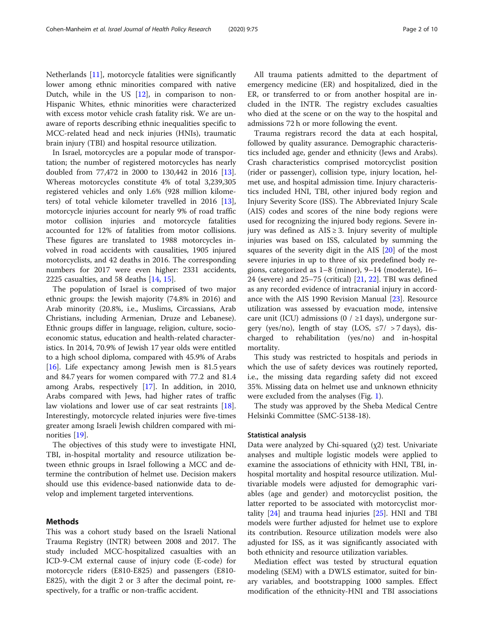Netherlands [\[11](#page-9-0)], motorcycle fatalities were significantly lower among ethnic minorities compared with native Dutch, while in the US [[12](#page-9-0)], in comparison to non-Hispanic Whites, ethnic minorities were characterized with excess motor vehicle crash fatality risk. We are unaware of reports describing ethnic inequalities specific to MCC-related head and neck injuries (HNIs), traumatic brain injury (TBI) and hospital resource utilization.

In Israel, motorcycles are a popular mode of transportation; the number of registered motorcycles has nearly doubled from 77,472 in 2000 to 130,442 in 2016 [\[13](#page-9-0)]. Whereas motorcycles constitute 4% of total 3,239,305 registered vehicles and only 1.6% (928 million kilometers) of total vehicle kilometer travelled in 2016 [\[13](#page-9-0)], motorcycle injuries account for nearly 9% of road traffic motor collision injuries and motorcycle fatalities accounted for 12% of fatalities from motor collisions. These figures are translated to 1988 motorcycles involved in road accidents with causalities, 1905 injured motorcyclists, and 42 deaths in 2016. The corresponding numbers for 2017 were even higher: 2331 accidents, 2225 casualties, and 58 deaths [\[14](#page-9-0), [15\]](#page-9-0).

The population of Israel is comprised of two major ethnic groups: the Jewish majority (74.8% in 2016) and Arab minority (20.8%, i.e., Muslims, Circassians, Arab Christians, including Armenian, Druze and Lebanese). Ethnic groups differ in language, religion, culture, socioeconomic status, education and health-related characteristics. In 2014, 70.9% of Jewish 17 year olds were entitled to a high school diploma, compared with 45.9% of Arabs [[16\]](#page-9-0). Life expectancy among Jewish men is 81.5 years and 84.7 years for women compared with 77.2 and 81.4 among Arabs, respectively [\[17](#page-9-0)]. In addition, in 2010, Arabs compared with Jews, had higher rates of traffic law violations and lower use of car seat restraints [\[18](#page-9-0)]. Interestingly, motorcycle related injuries were five-times greater among Israeli Jewish children compared with minorities [\[19](#page-9-0)].

The objectives of this study were to investigate HNI, TBI, in-hospital mortality and resource utilization between ethnic groups in Israel following a MCC and determine the contribution of helmet use. Decision makers should use this evidence-based nationwide data to develop and implement targeted interventions.

# Methods

This was a cohort study based on the Israeli National Trauma Registry (INTR) between 2008 and 2017. The study included MCC-hospitalized casualties with an ICD-9-CM external cause of injury code (E-code) for motorcycle riders (E810-E825) and passengers (E810- E825), with the digit 2 or 3 after the decimal point, respectively, for a traffic or non-traffic accident.

All trauma patients admitted to the department of emergency medicine (ER) and hospitalized, died in the ER, or transferred to or from another hospital are included in the INTR. The registry excludes casualties who died at the scene or on the way to the hospital and admissions 72 h or more following the event.

Trauma registrars record the data at each hospital, followed by quality assurance. Demographic characteristics included age, gender and ethnicity (Jews and Arabs). Crash characteristics comprised motorcyclist position (rider or passenger), collision type, injury location, helmet use, and hospital admission time. Injury characteristics included HNI, TBI, other injured body region and Injury Severity Score (ISS). The Abbreviated Injury Scale (AIS) codes and scores of the nine body regions were used for recognizing the injured body regions. Severe injury was defined as  $AIS \geq 3$ . Injury severity of multiple injuries was based on ISS, calculated by summing the squares of the severity digit in the AIS [[20](#page-9-0)] of the most severe injuries in up to three of six predefined body regions, categorized as 1–8 (minor), 9–14 (moderate), 16– 24 (severe) and 25–75 (critical) [[21,](#page-9-0) [22\]](#page-9-0). TBI was defined as any recorded evidence of intracranial injury in accordance with the AIS 1990 Revision Manual [[23\]](#page-9-0). Resource utilization was assessed by evacuation mode, intensive care unit (ICU) admissions (0  $/$   $\geq$ 1 days), undergone surgery (yes/no), length of stay (LOS,  $\leq 7/$  > 7 days), discharged to rehabilitation (yes/no) and in-hospital mortality.

This study was restricted to hospitals and periods in which the use of safety devices was routinely reported, i.e., the missing data regarding safety did not exceed 35%. Missing data on helmet use and unknown ethnicity were excluded from the analyses (Fig. [1](#page-2-0)).

The study was approved by the Sheba Medical Centre Helsinki Committee (SMC-5138-18).

## Statistical analysis

Data were analyzed by Chi-squared  $(\chi_2)$  test. Univariate analyses and multiple logistic models were applied to examine the associations of ethnicity with HNI, TBI, inhospital mortality and hospital resource utilization. Multivariable models were adjusted for demographic variables (age and gender) and motorcyclist position, the latter reported to be associated with motorcyclist mortality [\[24](#page-9-0)] and trauma head injuries [\[25](#page-9-0)]. HNI and TBI models were further adjusted for helmet use to explore its contribution. Resource utilization models were also adjusted for ISS, as it was significantly associated with both ethnicity and resource utilization variables.

Mediation effect was tested by structural equation modeling (SEM) with a DWLS estimator, suited for binary variables, and bootstrapping 1000 samples. Effect modification of the ethnicity-HNI and TBI associations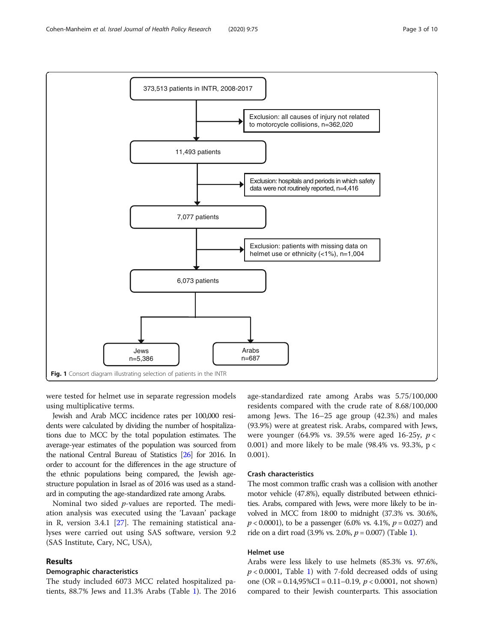<span id="page-2-0"></span>

were tested for helmet use in separate regression models using multiplicative terms.

Jewish and Arab MCC incidence rates per 100,000 residents were calculated by dividing the number of hospitalizations due to MCC by the total population estimates. The average-year estimates of the population was sourced from the national Central Bureau of Statistics [\[26\]](#page-9-0) for 2016. In order to account for the differences in the age structure of the ethnic populations being compared, the Jewish agestructure population in Israel as of 2016 was used as a standard in computing the age-standardized rate among Arabs.

Nominal two sided  $p$ -values are reported. The mediation analysis was executed using the 'Lavaan' package in R, version 3.4.1 [\[27](#page-9-0)]. The remaining statistical analyses were carried out using SAS software, version 9.2 (SAS Institute, Cary, NC, USA),

# Results

# Demographic characteristics

The study included 6073 MCC related hospitalized patients, 88.7% Jews and 11.3% Arabs (Table [1](#page-3-0)). The 2016

age-standardized rate among Arabs was 5.75/100,000 residents compared with the crude rate of 8.68/100,000 among Jews. The 16–25 age group (42.3%) and males (93.9%) were at greatest risk. Arabs, compared with Jews, were younger (64.9% vs. 39.5% were aged 16-25y,  $p <$ 0.001) and more likely to be male (98.4% vs. 93.3%,  $p <$ 0.001).

# Crash characteristics

The most common traffic crash was a collision with another motor vehicle (47.8%), equally distributed between ethnicities. Arabs, compared with Jews, were more likely to be involved in MCC from 18:00 to midnight (37.3% vs. 30.6%,  $p < 0.0001$ , to be a passenger (6.0% vs. 4.1%,  $p = 0.027$ ) and ride on a dirt road  $(3.9\% \text{ vs. } 2.0\%, p = 0.007)$  (Table [1](#page-3-0)).

# Helmet use

Arabs were less likely to use helmets (85.3% vs. 97.6%,  $p < 0.0001$ , Table [1\)](#page-3-0) with 7-fold decreased odds of using one (OR =  $0.14,95\%$ CI =  $0.11-0.19$ ,  $p < 0.0001$ , not shown) compared to their Jewish counterparts. This association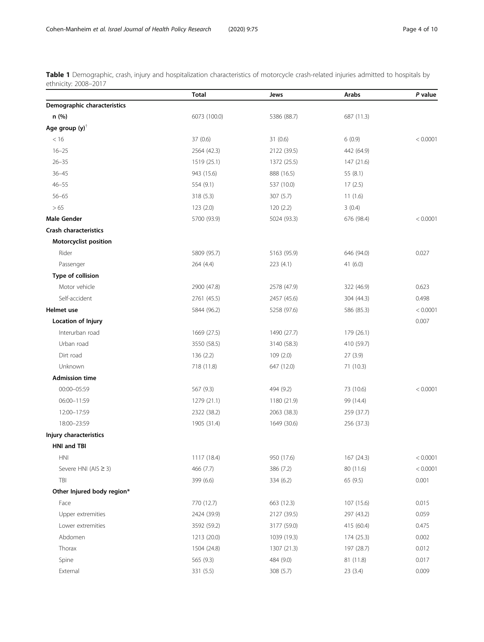<span id="page-3-0"></span>Table 1 Demographic, crash, injury and hospitalization characteristics of motorcycle crash-related injuries admitted to hospitals by ethnicity: 2008–2017

|                              | Total        | Jews        | Arabs      | P value  |
|------------------------------|--------------|-------------|------------|----------|
| Demographic characteristics  |              |             |            |          |
| n (%)                        | 6073 (100.0) | 5386 (88.7) | 687 (11.3) |          |
| Age group $(y)^{\dagger}$    |              |             |            |          |
| $<16$                        | 37(0.6)      | 31(0.6)     | 6(0.9)     | < 0.0001 |
| $16 - 25$                    | 2564 (42.3)  | 2122 (39.5) | 442 (64.9) |          |
| $26 - 35$                    | 1519 (25.1)  | 1372 (25.5) | 147(21.6)  |          |
| $36 - 45$                    | 943 (15.6)   | 888 (16.5)  | 55 (8.1)   |          |
| $46 - 55$                    | 554 (9.1)    | 537 (10.0)  | 17(2.5)    |          |
| $56 - 65$                    | 318 (5.3)    | 307(5.7)    | 11(1.6)    |          |
| > 65                         | 123(2.0)     | 120(2.2)    | 3(0.4)     |          |
| <b>Male Gender</b>           | 5700 (93.9)  | 5024 (93.3) | 676 (98.4) | < 0.0001 |
| <b>Crash characteristics</b> |              |             |            |          |
| Motorcyclist position        |              |             |            |          |
| Rider                        | 5809 (95.7)  | 5163 (95.9) | 646 (94.0) | 0.027    |
| Passenger                    | 264 (4.4)    | 223 (4.1)   | 41(6.0)    |          |
| Type of collision            |              |             |            |          |
| Motor vehicle                | 2900 (47.8)  | 2578 (47.9) | 322 (46.9) | 0.623    |
| Self-accident                | 2761 (45.5)  | 2457 (45.6) | 304 (44.3) | 0.498    |
| Helmet use                   | 5844 (96.2)  | 5258 (97.6) | 586 (85.3) | < 0.0001 |
| Location of Injury           |              |             |            | 0.007    |
| Interurban road              | 1669 (27.5)  | 1490 (27.7) | 179 (26.1) |          |
| Urban road                   | 3550 (58.5)  | 3140 (58.3) | 410 (59.7) |          |
| Dirt road                    | 136(2.2)     | 109(2.0)    | 27(3.9)    |          |
| Unknown                      | 718 (11.8)   | 647 (12.0)  | 71 (10.3)  |          |
| <b>Admission time</b>        |              |             |            |          |
| 00:00-05:59                  | 567 (9.3)    | 494 (9.2)   | 73 (10.6)  | < 0.0001 |
| 06:00-11:59                  | 1279 (21.1)  | 1180 (21.9) | 99 (14.4)  |          |
| 12:00-17:59                  | 2322 (38.2)  | 2063 (38.3) | 259 (37.7) |          |
| 18:00-23:59                  | 1905 (31.4)  | 1649 (30.6) | 256 (37.3) |          |
| Injury characteristics       |              |             |            |          |
| HNI and TBI                  |              |             |            |          |
| HNI                          | 1117 (18.4)  | 950 (17.6)  | 167(24.3)  | < 0.0001 |
| Severe HNI (AIS $\geq$ 3)    | 466 (7.7)    | 386 (7.2)   | 80 (11.6)  | < 0.0001 |
| TBI                          | 399 (6.6)    | 334 (6.2)   | 65 (9.5)   | 0.001    |
| Other Injured body region*   |              |             |            |          |
| Face                         | 770 (12.7)   | 663 (12.3)  | 107 (15.6) | 0.015    |
| Upper extremities            | 2424 (39.9)  | 2127 (39.5) | 297 (43.2) | 0.059    |
| Lower extremities            | 3592 (59.2)  | 3177 (59.0) | 415 (60.4) | 0.475    |
| Abdomen                      | 1213 (20.0)  | 1039 (19.3) | 174 (25.3) | 0.002    |
| Thorax                       | 1504 (24.8)  | 1307 (21.3) | 197 (28.7) | 0.012    |
| Spine                        | 565 (9.3)    | 484 (9.0)   | 81 (11.8)  | 0.017    |
| External                     | 331 (5.5)    | 308 (5.7)   | 23(3.4)    | 0.009    |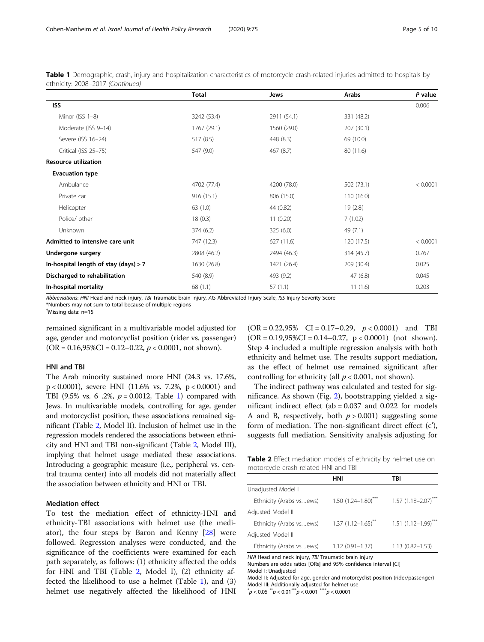Table 1 Demographic, crash, injury and hospitalization characteristics of motorcycle crash-related injuries admitted to hospitals by ethnicity: 2008–2017 (Continued)

|                                         | <b>Total</b> | Jews        | Arabs      | P value  |
|-----------------------------------------|--------------|-------------|------------|----------|
| <b>ISS</b>                              |              |             |            | 0.006    |
| Minor (ISS 1-8)                         | 3242 (53.4)  | 2911 (54.1) | 331 (48.2) |          |
| Moderate (ISS 9-14)                     | 1767 (29.1)  | 1560 (29.0) | 207 (30.1) |          |
| Severe (ISS 16-24)                      | 517 (8.5)    | 448 (8.3)   | 69 (10.0)  |          |
| Critical (ISS 25-75)                    | 547 (9.0)    | 467 (8.7)   | 80 (11.6)  |          |
| <b>Resource utilization</b>             |              |             |            |          |
| <b>Evacuation type</b>                  |              |             |            |          |
| Ambulance                               | 4702 (77.4)  | 4200 (78.0) | 502 (73.1) | < 0.0001 |
| Private car                             | 916(15.1)    | 806 (15.0)  | 110(16.0)  |          |
| Helicopter                              | 63(1.0)      | 44 (0.82)   | 19 (2.8)   |          |
| Police/ other                           | 18(0.3)      | 11(0.20)    | 7(1.02)    |          |
| Unknown                                 | 374(6.2)     | 325 (6.0)   | 49 (7.1)   |          |
| Admitted to intensive care unit         | 747 (12.3)   | 627(11.6)   | 120(17.5)  | < 0.0001 |
| Undergone surgery                       | 2808 (46.2)  | 2494 (46.3) | 314 (45.7) | 0.767    |
| In-hospital length of stay $(days) > 7$ | 1630 (26.8)  | 1421 (26.4) | 209 (30.4) | 0.025    |
| Discharged to rehabilitation            | 540 (8.9)    | 493 (9.2)   | 47(6.8)    | 0.045    |
| In-hospital mortality                   | 68(1.1)      | 57(1.1)     | 11(1.6)    | 0.203    |

Abbreviations: HNI Head and neck injury, TBI Traumatic brain injury, AIS Abbreviated Injury Scale, ISS Injury Severity Score

\*Numbers may not sum to total because of multiple regions

† Missing data: n=15

remained significant in a multivariable model adjusted for age, gender and motorcyclist position (rider vs. passenger)  $(OR = 0.16, 95\% CI = 0.12 - 0.22, p < 0.0001, not shown).$ 

# HNI and TBI

The Arab minority sustained more HNI (24.3 vs. 17.6%, p < 0.0001), severe HNI (11.6% vs. 7.2%, p < 0.0001) and TBI (9.5% vs. 6 .2%,  $p = 0.0012$  $p = 0.0012$  $p = 0.0012$ , Table 1) compared with Jews. In multivariable models, controlling for age, gender and motorcyclist position, these associations remained significant (Table 2, Model II). Inclusion of helmet use in the regression models rendered the associations between ethnicity and HNI and TBI non-significant (Table 2, Model III), implying that helmet usage mediated these associations. Introducing a geographic measure (i.e., peripheral vs. central trauma center) into all models did not materially affect the association between ethnicity and HNI or TBI.

# Mediation effect

To test the mediation effect of ethnicity-HNI and ethnicity-TBI associations with helmet use (the mediator), the four steps by Baron and Kenny  $[28]$  $[28]$  $[28]$  were followed. Regression analyses were conducted, and the significance of the coefficients were examined for each path separately, as follows: (1) ethnicity affected the odds for HNI and TBI (Table 2, Model I), (2) ethnicity affected the likelihood to use a helmet (Table [1](#page-3-0)), and (3) helmet use negatively affected the likelihood of HNI

 $(OR = 0.22, 95\% \text{ CI} = 0.17 - 0.29, p < 0.0001)$  and TBI  $(OR = 0.19,95\% CI = 0.14 - 0.27, p < 0.0001)$  (not shown). Step 4 included a multiple regression analysis with both ethnicity and helmet use. The results support mediation, as the effect of helmet use remained significant after controlling for ethnicity (all  $p < 0.001$ , not shown).

The indirect pathway was calculated and tested for significance. As shown (Fig. [2\)](#page-5-0), bootstrapping yielded a significant indirect effect (ab = 0.037 and 0.022 for models A and B, respectively, both  $p > 0.001$ ) suggesting some form of mediation. The non-significant direct effect (c'), suggests full mediation. Sensitivity analysis adjusting for

Table 2 Effect mediation models of ethnicity by helmet use on motorcycle crash-related HNI and TBI

|                            | HNI                       | TBI                               |
|----------------------------|---------------------------|-----------------------------------|
| Unadjusted Model I         |                           |                                   |
| Ethnicity (Arabs vs. Jews) | $1.50(1.24 - 1.80)^{***}$ | $1.57$ (1.18-2.07) <sup>***</sup> |
| Adjusted Model II          |                           |                                   |
| Ethnicity (Arabs vs. Jews) | $1.37(1.12 - 1.65)^{**}$  | $1.51(1.12 - 1.99)$ ***           |
| Adjusted Model III         |                           |                                   |
| Ethnicity (Arabs vs. Jews) | $1.12(0.91 - 1.37)$       | $1.13(0.82 - 1.53)$               |

HNI Head and neck injury, TBI Traumatic brain injury

Numbers are odds ratios [ORs] and 95% confidence interval [CI] Model I: Unadjusted

Model II: Adjusted for age, gender and motorcyclist position (rider/passenger) Model III: Additionally adjusted for helmet use

 $p < 0.05$  \*\* $p < 0.01$ \*\*\* $p < 0.001$ \*\*\*\* $p < 0.0001$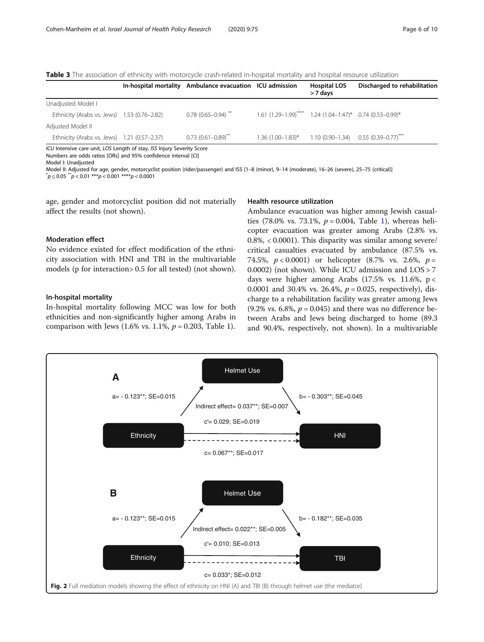# <span id="page-5-0"></span>Table 3 The association of ethnicity with motorcycle crash-related in-hospital mortality and hospital resource utilization

|                                                                                     | In-hospital mortality Ambulance evacuation ICU admission |                                                                        | <b>Hospital LOS</b><br>> 7 days | Discharged to rehabilitation                          |
|-------------------------------------------------------------------------------------|----------------------------------------------------------|------------------------------------------------------------------------|---------------------------------|-------------------------------------------------------|
| Unadjusted Model I                                                                  |                                                          |                                                                        |                                 |                                                       |
| Ethnicity (Arabs vs. Jews) 1.53 (0.76-2.82)                                         | $0.78$ (0.65-0.94) <sup>**</sup>                         | $1.61$ (1.29-1.99) <sup>****</sup> 1.24 (1.04-1.47)* 0.74 (0.53-0.99)* |                                 |                                                       |
| Adjusted Model II                                                                   |                                                          |                                                                        |                                 |                                                       |
| Ethnicity (Arabs vs. Jews) 1.21 (0.57-2.37)                                         | $0.73(0.61 - 0.89)^{**}$                                 | $1.36(1.00 - 1.83)^*$                                                  |                                 | $1.10(0.90 - 1.34)$ 0.55 (0.39 - 0.77) <sup>***</sup> |
| $ICU$ between the same mater $IO$ for the same of stars. ICC between Carrier Cannot |                                                          |                                                                        |                                 |                                                       |

ICU Intensive care unit, LOS Length of stay, ISS Injury Severity Score Numbers are odds ratios [ORs] and 95% confidence interval [CI]

Model I: Unadjusted

Model II: Adjusted for age, gender, motorcyclist position (rider/passenger) and ISS [1-8 (minor), 9-14 (moderate), 16-26 (severe), 25-75 (critical)]

 $p \leq 0.05$  \*\*p < 0.01 \*\*\*p < 0.001 \*\*\*\*p < 0.0001

age, gender and motorcyclist position did not materially affect the results (not shown).

# Moderation effect

No evidence existed for effect modification of the ethnicity association with HNI and TBI in the multivariable models (p for interaction> 0.5 for all tested) (not shown).

#### In-hospital mortality

In-hospital mortality following MCC was low for both ethnicities and non-significantly higher among Arabs in comparison with Jews ([1](#page-3-0).6% vs. 1.1%,  $p = 0.203$ , Table 1).

# Health resource utilization

Ambulance evacuation was higher among Jewish casualties (78.0% vs. 73.1%,  $p = 0.004$ , Table [1\)](#page-3-0), whereas helicopter evacuation was greater among Arabs (2.8% vs. 0.8%, < 0.0001). This disparity was similar among severe/ critical casualties evacuated by ambulance (87.5% vs. 74.5%,  $p < 0.0001$ ) or helicopter (8.7% vs. 2.6%,  $p =$ 0.0002) (not shown). While ICU admission and LOS > 7 days were higher among Arabs (17.5% vs. 11.6%, p < 0.0001 and 30.4% vs. 26.4%,  $p = 0.025$ , respectively), discharge to a rehabilitation facility was greater among Jews  $(9.2\% \text{ vs. } 6.8\%, p = 0.045)$  and there was no difference between Arabs and Jews being discharged to home (89.3 and 90.4%, respectively, not shown). In a multivariable

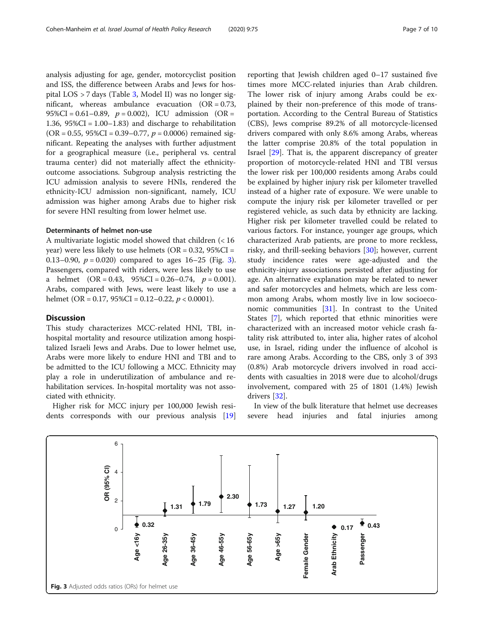analysis adjusting for age, gender, motorcyclist position and ISS, the difference between Arabs and Jews for hospital LOS > 7 days (Table [3,](#page-5-0) Model II) was no longer significant, whereas ambulance evacuation  $(OR = 0.73,$ 95%CI = 0.61-0.89,  $p = 0.002$ ), ICU admission (OR = 1.36,  $95\%CI = 1.00 - 1.83$  and discharge to rehabilitation  $(OR = 0.55, 95\%CI = 0.39 - 0.77, p = 0.0006)$  remained significant. Repeating the analyses with further adjustment for a geographical measure (i.e., peripheral vs. central trauma center) did not materially affect the ethnicityoutcome associations. Subgroup analysis restricting the ICU admission analysis to severe HNIs, rendered the ethnicity-ICU admission non-significant, namely, ICU admission was higher among Arabs due to higher risk for severe HNI resulting from lower helmet use.

#### Determinants of helmet non-use

A multivariate logistic model showed that children (< 16 year) were less likely to use helmets ( $OR = 0.32$ ,  $95\%CI =$ 0.13–0.90,  $p = 0.020$  compared to ages 16–25 (Fig. 3). Passengers, compared with riders, were less likely to use a helmet  $(OR = 0.43, 95\% CI = 0.26 - 0.74, p = 0.001).$ Arabs, compared with Jews, were least likely to use a helmet (OR = 0.17, 95%CI = 0.12–0.22,  $p < 0.0001$ ).

# **Discussion**

This study characterizes MCC-related HNI, TBI, inhospital mortality and resource utilization among hospitalized Israeli Jews and Arabs. Due to lower helmet use, Arabs were more likely to endure HNI and TBI and to be admitted to the ICU following a MCC. Ethnicity may play a role in underutilization of ambulance and rehabilitation services. In-hospital mortality was not associated with ethnicity.

Higher risk for MCC injury per 100,000 Jewish residents corresponds with our previous analysis [[19](#page-9-0)]

reporting that Jewish children aged 0–17 sustained five times more MCC-related injuries than Arab children. The lower risk of injury among Arabs could be explained by their non-preference of this mode of transportation. According to the Central Bureau of Statistics (CBS), Jews comprise 89.2% of all motorcycle-licensed drivers compared with only 8.6% among Arabs, whereas the latter comprise 20.8% of the total population in Israel [\[29\]](#page-9-0). That is, the apparent discrepancy of greater proportion of motorcycle-related HNI and TBI versus the lower risk per 100,000 residents among Arabs could be explained by higher injury risk per kilometer travelled instead of a higher rate of exposure. We were unable to compute the injury risk per kilometer travelled or per registered vehicle, as such data by ethnicity are lacking. Higher risk per kilometer travelled could be related to various factors. For instance, younger age groups, which characterized Arab patients, are prone to more reckless, risky, and thrill-seeking behaviors [\[30](#page-9-0)]; however, current study incidence rates were age-adjusted and the ethnicity-injury associations persisted after adjusting for age. An alternative explanation may be related to newer and safer motorcycles and helmets, which are less common among Arabs, whom mostly live in low socioeconomic communities [[31\]](#page-9-0). In contrast to the United States [[7\]](#page-8-0), which reported that ethnic minorities were characterized with an increased motor vehicle crash fatality risk attributed to, inter alia, higher rates of alcohol use, in Israel, riding under the influence of alcohol is rare among Arabs. According to the CBS, only 3 of 393 (0.8%) Arab motorcycle drivers involved in road accidents with casualties in 2018 were due to alcohol/drugs involvement, compared with 25 of 1801 (1.4%) Jewish drivers [[32](#page-9-0)].

In view of the bulk literature that helmet use decreases severe head injuries and fatal injuries among

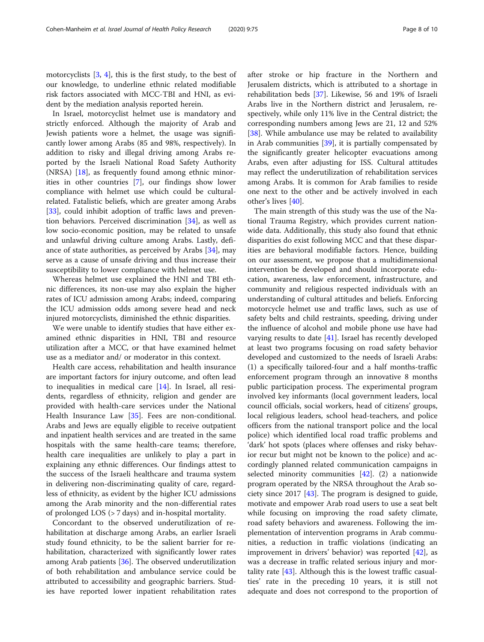motorcyclists  $[3, 4]$  $[3, 4]$  $[3, 4]$  $[3, 4]$  $[3, 4]$ , this is the first study, to the best of our knowledge, to underline ethnic related modifiable risk factors associated with MCC-TBI and HNI, as evident by the mediation analysis reported herein.

In Israel, motorcyclist helmet use is mandatory and strictly enforced. Although the majority of Arab and Jewish patients wore a helmet, the usage was significantly lower among Arabs (85 and 98%, respectively). In addition to risky and illegal driving among Arabs reported by the Israeli National Road Safety Authority (NRSA) [[18\]](#page-9-0), as frequently found among ethnic minorities in other countries [[7\]](#page-8-0), our findings show lower compliance with helmet use which could be culturalrelated. Fatalistic beliefs, which are greater among Arabs [[33\]](#page-9-0), could inhibit adoption of traffic laws and prevention behaviors. Perceived discrimination [[34\]](#page-9-0), as well as low socio-economic position, may be related to unsafe and unlawful driving culture among Arabs. Lastly, defiance of state authorities, as perceived by Arabs [\[34](#page-9-0)], may serve as a cause of unsafe driving and thus increase their susceptibility to lower compliance with helmet use.

Whereas helmet use explained the HNI and TBI ethnic differences, its non-use may also explain the higher rates of ICU admission among Arabs; indeed, comparing the ICU admission odds among severe head and neck injured motorcyclists, diminished the ethnic disparities.

We were unable to identify studies that have either examined ethnic disparities in HNI, TBI and resource utilization after a MCC, or that have examined helmet use as a mediator and/ or moderator in this context.

Health care access, rehabilitation and health insurance are important factors for injury outcome, and often lead to inequalities in medical care [\[14](#page-9-0)]. In Israel, all residents, regardless of ethnicity, religion and gender are provided with health-care services under the National Health Insurance Law [[35\]](#page-9-0). Fees are non-conditional. Arabs and Jews are equally eligible to receive outpatient and inpatient health services and are treated in the same hospitals with the same health-care teams; therefore, health care inequalities are unlikely to play a part in explaining any ethnic differences. Our findings attest to the success of the Israeli healthcare and trauma system in delivering non-discriminating quality of care, regardless of ethnicity, as evident by the higher ICU admissions among the Arab minority and the non-differential rates of prolonged LOS (> 7 days) and in-hospital mortality.

Concordant to the observed underutilization of rehabilitation at discharge among Arabs, an earlier Israeli study found ethnicity, to be the salient barrier for rehabilitation, characterized with significantly lower rates among Arab patients [[36\]](#page-9-0). The observed underutilization of both rehabilitation and ambulance service could be attributed to accessibility and geographic barriers. Studies have reported lower inpatient rehabilitation rates after stroke or hip fracture in the Northern and Jerusalem districts, which is attributed to a shortage in rehabilitation beds [[37](#page-9-0)]. Likewise, 56 and 19% of Israeli Arabs live in the Northern district and Jerusalem, respectively, while only 11% live in the Central district; the corresponding numbers among Jews are 21, 12 and 52% [[38\]](#page-9-0). While ambulance use may be related to availability in Arab communities [[39\]](#page-9-0), it is partially compensated by the significantly greater helicopter evacuations among Arabs, even after adjusting for ISS. Cultural attitudes may reflect the underutilization of rehabilitation services among Arabs. It is common for Arab families to reside one next to the other and be actively involved in each other's lives [[40\]](#page-9-0).

The main strength of this study was the use of the National Trauma Registry, which provides current nationwide data. Additionally, this study also found that ethnic disparities do exist following MCC and that these disparities are behavioral modifiable factors. Hence, building on our assessment, we propose that a multidimensional intervention be developed and should incorporate education, awareness, law enforcement, infrastructure, and community and religious respected individuals with an understanding of cultural attitudes and beliefs. Enforcing motorcycle helmet use and traffic laws, such as use of safety belts and child restraints, speeding, driving under the influence of alcohol and mobile phone use have had varying results to date [\[41\]](#page-9-0). Israel has recently developed at least two programs focusing on road safety behavior developed and customized to the needs of Israeli Arabs: (1) a specifically tailored-four and a half months-traffic enforcement program through an innovative 8 months public participation process. The experimental program involved key informants (local government leaders, local council officials, social workers, head of citizens' groups, local religious leaders, school head-teachers, and police officers from the national transport police and the local police) which identified local road traffic problems and 'dark' hot spots (places where offenses and risky behavior recur but might not be known to the police) and accordingly planned related communication campaigns in selected minority communities  $[42]$  $[42]$  $[42]$ . (2) a nationwide program operated by the NRSA throughout the Arab society since 2017 [\[43\]](#page-9-0). The program is designed to guide, motivate and empower Arab road users to use a seat belt while focusing on improving the road safety climate, road safety behaviors and awareness. Following the implementation of intervention programs in Arab communities, a reduction in traffic violations (indicating an improvement in drivers' behavior) was reported [\[42](#page-9-0)], as was a decrease in traffic related serious injury and mortality rate [\[43](#page-9-0)]. Although this is the lowest traffic casualties' rate in the preceding 10 years, it is still not adequate and does not correspond to the proportion of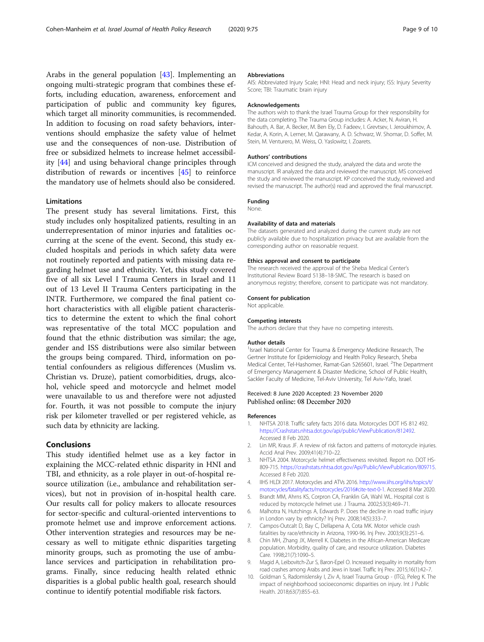<span id="page-8-0"></span>Arabs in the general population [[43](#page-9-0)]. Implementing an ongoing multi-strategic program that combines these efforts, including education, awareness, enforcement and participation of public and community key figures, which target all minority communities, is recommended. In addition to focusing on road safety behaviors, interventions should emphasize the safety value of helmet use and the consequences of non-use. Distribution of free or subsidized helmets to increase helmet accessibility [[44\]](#page-9-0) and using behavioral change principles through distribution of rewards or incentives [[45](#page-9-0)] to reinforce the mandatory use of helmets should also be considered.

#### Limitations

The present study has several limitations. First, this study includes only hospitalized patients, resulting in an underrepresentation of minor injuries and fatalities occurring at the scene of the event. Second, this study excluded hospitals and periods in which safety data were not routinely reported and patients with missing data regarding helmet use and ethnicity. Yet, this study covered five of all six Level I Trauma Centers in Israel and 11 out of 13 Level II Trauma Centers participating in the INTR. Furthermore, we compared the final patient cohort characteristics with all eligible patient characteristics to determine the extent to which the final cohort was representative of the total MCC population and found that the ethnic distribution was similar; the age, gender and ISS distributions were also similar between the groups being compared. Third, information on potential confounders as religious differences (Muslim vs. Christian vs. Druze), patient comorbidities, drugs, alcohol, vehicle speed and motorcycle and helmet model were unavailable to us and therefore were not adjusted for. Fourth, it was not possible to compute the injury risk per kilometer travelled or per registered vehicle, as such data by ethnicity are lacking.

#### Conclusions

This study identified helmet use as a key factor in explaining the MCC-related ethnic disparity in HNI and TBI, and ethnicity, as a role player in out-of-hospital resource utilization (i.e., ambulance and rehabilitation services), but not in provision of in-hospital health care. Our results call for policy makers to allocate resources for sector-specific and cultural-oriented interventions to promote helmet use and improve enforcement actions. Other intervention strategies and resources may be necessary as well to mitigate ethnic disparities targeting minority groups, such as promoting the use of ambulance services and participation in rehabilitation programs. Finally, since reducing health related ethnic disparities is a global public health goal, research should continue to identify potential modifiable risk factors.

#### Abbreviations

AIS: Abbreviated Injury Scale; HNI: Head and neck injury; ISS: Injury Severity Score; TBI: Traumatic brain injury

#### Acknowledgements

The authors wish to thank the Israel Trauma Group for their responsibility for the data completing. The Trauma Group includes: A. Acker, N. Aviran, H. Bahouth, A. Bar, A. Becker, M. Ben Ely, D. Fadeev, I. Grevtsev, I. Jeroukhimov, A. Kedar, A. Korin, A. Lerner, M. Qarawany, A. D. Schwarz, W. Shomar, D. Soffer, M. Stein, M. Venturero, M. Weiss, O. Yaslowitz, I. Zoarets.

#### Authors' contributions

ICM conceived and designed the study, analyzed the data and wrote the manuscript. IR analyzed the data and reviewed the manuscript. MS conceived the study and reviewed the manuscript. KP conceived the study, reviewed and revised the manuscript. The author(s) read and approved the final manuscript.

#### Funding

None.

#### Availability of data and materials

The datasets generated and analyzed during the current study are not publicly available due to hospitalization privacy but are available from the corresponding author on reasonable request.

#### Ethics approval and consent to participate

The research received the approval of the Sheba Medical Center's Institutional Review Board 5138–18-SMC. The research is based on anonymous registry; therefore, consent to participate was not mandatory.

# Consent for publication

Not applicable.

## Competing interests

The authors declare that they have no competing interests.

#### Author details

<sup>1</sup> Israel National Center for Trauma & Emergency Medicine Research, The Gertner Institute for Epidemiology and Health Policy Research, Sheba Medical Center, Tel-Hashomer, Ramat-Gan 5265601, Israel. <sup>2</sup>The Department of Emergency Management & Disaster Medicine, School of Public Health, Sackler Faculty of Medicine, Tel-Aviv University, Tel Aviv-Yafo, Israel.

#### Received: 8 June 2020 Accepted: 23 November 2020 Published online: 08 December 2020

#### References

- NHTSA 2018. Traffic safety facts 2016 data. Motorcycles DOT HS 812 492. [https://Crashstats.nhtsa.dot.gov/api/public/ViewPublication/812492.](https://crashstats.nhtsa.dot.gov/api/public/ViewPublication/812492) Accessed 8 Feb 2020.
- 2. Lin MR, Kraus JF. A review of risk factors and patterns of motorcycle injuries. Accid Anal Prev. 2009;41(4):710–22.
- 3. NHTSA 2004. Motorcycle helmet effectiveness revisited. Report no. DOT HS809-715. [https://crashstats.nhtsa.dot.gov/Api/Public/ViewPublication/809715.](https://crashstats.nhtsa.dot.gov/Api/Public/ViewPublication/809715) Accessed 8 Feb 2020.
- 4. IIHS HLDI 2017. Motorcycles and ATVs 2016. [http://www.iihs.org/iihs/topics/t/](http://www.iihs.org/iihs/topics/t/motorcycles/fatalityfacts/motorcycles/2016#cite-text-0-1) [motorcycles/fatalityfacts/motorcycles/2016#cite-text-0-1](http://www.iihs.org/iihs/topics/t/motorcycles/fatalityfacts/motorcycles/2016#cite-text-0-1). Accessed 8 Mar 2020.
- 5. Brandt MM, Ahrns KS, Corpron CA, Franklin GA, Wahl WL. Hospital cost is reduced by motorcycle helmet use. J Trauma. 2002;53(3):469–71.
- 6. Malhotra N, Hutchings A, Edwards P. Does the decline in road traffic injury in London vary by ethnicity? Inj Prev. 2008;14(5):333–7.
- Campos-Outcalt D, Bay C, Dellapena A, Cota MK. Motor vehicle crash fatalities by race/ethnicity in Arizona, 1990-96. Inj Prev. 2003;9(3):251–6.
- 8. Chin MH, Zhang JX, Merrell K. Diabetes in the African-American Medicare population. Morbidity, quality of care, and resource utilization. Diabetes Care. 1998;21(7):1090–5.
- 9. Magid A, Leibovitch-Zur S, Baron-Epel O. Increased inequality in mortality from road crashes among Arabs and Jews in Israel. Traffic Inj Prev. 2015;16(1):42–7.
- 10. Goldman S, Radomislensky I, Ziv A, Israel Trauma Group (ITG), Peleg K. The impact of neighborhood socioeconomic disparities on injury. Int J Public Health. 2018;63(7):855–63.